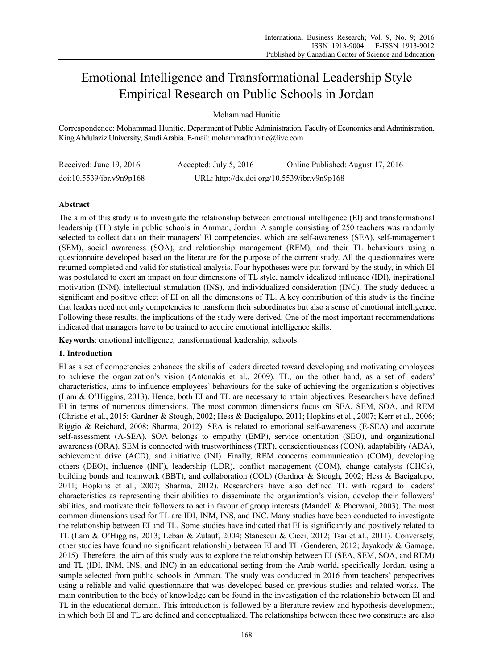# Emotional Intelligence and Transformational Leadership Style Empirical Research on Public Schools in Jordan

Mohammad Hunitie

Correspondence: Mohammad Hunitie, Department of Public Administration, Faculty of Economics and Administration, King Abdulaziz University, Saudi Arabia. E-mail: mohammadhunitie@live.com

| Received: June $19, 2016$ | Accepted: July 5, 2016                      | Online Published: August 17, 2016 |
|---------------------------|---------------------------------------------|-----------------------------------|
| doi:10.5539/ibr.v9n9p168  | URL: http://dx.doi.org/10.5539/ibr.v9n9p168 |                                   |

## **Abstract**

The aim of this study is to investigate the relationship between emotional intelligence (EI) and transformational leadership (TL) style in public schools in Amman, Jordan. A sample consisting of 250 teachers was randomly selected to collect data on their managers' EI competencies, which are self-awareness (SEA), self-management (SEM), social awareness (SOA), and relationship management (REM), and their TL behaviours using a questionnaire developed based on the literature for the purpose of the current study. All the questionnaires were returned completed and valid for statistical analysis. Four hypotheses were put forward by the study, in which EI was postulated to exert an impact on four dimensions of TL style, namely idealized influence (IDI), inspirational motivation (INM), intellectual stimulation (INS), and individualized consideration (INC). The study deduced a significant and positive effect of EI on all the dimensions of TL. A key contribution of this study is the finding that leaders need not only competencies to transform their subordinates but also a sense of emotional intelligence. Following these results, the implications of the study were derived. One of the most important recommendations indicated that managers have to be trained to acquire emotional intelligence skills.

**Keywords**: emotional intelligence, transformational leadership, schools

### **1. Introduction**

EI as a set of competencies enhances the skills of leaders directed toward developing and motivating employees to achieve the organization's vision (Antonakis et al., 2009). TL, on the other hand, as a set of leaders' characteristics, aims to influence employees' behaviours for the sake of achieving the organization's objectives (Lam & O'Higgins, 2013). Hence, both EI and TL are necessary to attain objectives. Researchers have defined EI in terms of numerous dimensions. The most common dimensions focus on SEA, SEM, SOA, and REM (Christie et al., 2015; Gardner & Stough, 2002; Hess & Bacigalupo, 2011; Hopkins et al., 2007; Kerr et al., 2006; Riggio & Reichard, 2008; Sharma, 2012). SEA is related to emotional self-awareness (E-SEA) and accurate self-assessment (A-SEA). SOA belongs to empathy (EMP), service orientation (SEO), and organizational awareness (ORA). SEM is connected with trustworthiness (TRT), conscientiousness (CON), adaptability (ADA), achievement drive (ACD), and initiative (INI). Finally, REM concerns communication (COM), developing others (DEO), influence (INF), leadership (LDR), conflict management (COM), change catalysts (CHCs), building bonds and teamwork (BBT), and collaboration (COL) (Gardner & Stough, 2002; Hess & Bacigalupo, 2011; Hopkins et al., 2007; Sharma, 2012). Researchers have also defined TL with regard to leaders' characteristics as representing their abilities to disseminate the organization's vision, develop their followers' abilities, and motivate their followers to act in favour of group interests (Mandell & Pherwani, 2003). The most common dimensions used for TL are IDI, INM, INS, and INC. Many studies have been conducted to investigate the relationship between EI and TL. Some studies have indicated that EI is significantly and positively related to TL (Lam & O'Higgins, 2013; Leban & Zulauf, 2004; Stanescui & Cicei, 2012; Tsai et al., 2011). Conversely, other studies have found no significant relationship between EI and TL (Genderen, 2012; Jayakody & Gamage, 2015). Therefore, the aim of this study was to explore the relationship between EI (SEA, SEM, SOA, and REM) and TL (IDI, INM, INS, and INC) in an educational setting from the Arab world, specifically Jordan, using a sample selected from public schools in Amman. The study was conducted in 2016 from teachers' perspectives using a reliable and valid questionnaire that was developed based on previous studies and related works. The main contribution to the body of knowledge can be found in the investigation of the relationship between EI and TL in the educational domain. This introduction is followed by a literature review and hypothesis development, in which both EI and TL are defined and conceptualized. The relationships between these two constructs are also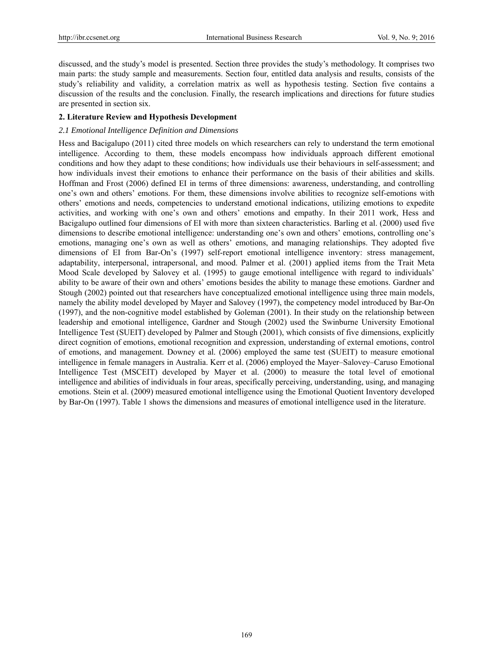discussed, and the study's model is presented. Section three provides the study's methodology. It comprises two main parts: the study sample and measurements. Section four, entitled data analysis and results, consists of the study's reliability and validity, a correlation matrix as well as hypothesis testing. Section five contains a discussion of the results and the conclusion. Finally, the research implications and directions for future studies are presented in section six.

## **2. Literature Review and Hypothesis Development**

## *2.1 Emotional Intelligence Definition and Dimensions*

Hess and Bacigalupo (2011) cited three models on which researchers can rely to understand the term emotional intelligence. According to them, these models encompass how individuals approach different emotional conditions and how they adapt to these conditions; how individuals use their behaviours in self-assessment; and how individuals invest their emotions to enhance their performance on the basis of their abilities and skills. Hoffman and Frost (2006) defined EI in terms of three dimensions: awareness, understanding, and controlling one's own and others' emotions. For them, these dimensions involve abilities to recognize self-emotions with others' emotions and needs, competencies to understand emotional indications, utilizing emotions to expedite activities, and working with one's own and others' emotions and empathy. In their 2011 work, Hess and Bacigalupo outlined four dimensions of EI with more than sixteen characteristics. Barling et al. (2000) used five dimensions to describe emotional intelligence: understanding one's own and others' emotions, controlling one's emotions, managing one's own as well as others' emotions, and managing relationships. They adopted five dimensions of EI from Bar-On's (1997) self-report emotional intelligence inventory: stress management, adaptability, interpersonal, intrapersonal, and mood. Palmer et al. (2001) applied items from the Trait Meta Mood Scale developed by Salovey et al. (1995) to gauge emotional intelligence with regard to individuals' ability to be aware of their own and others' emotions besides the ability to manage these emotions. Gardner and Stough (2002) pointed out that researchers have conceptualized emotional intelligence using three main models, namely the ability model developed by Mayer and Salovey (1997), the competency model introduced by Bar-On (1997), and the non-cognitive model established by Goleman (2001). In their study on the relationship between leadership and emotional intelligence, Gardner and Stough (2002) used the Swinburne University Emotional Intelligence Test (SUEIT) developed by Palmer and Stough (2001), which consists of five dimensions, explicitly direct cognition of emotions, emotional recognition and expression, understanding of external emotions, control of emotions, and management. Downey et al. (2006) employed the same test (SUEIT) to measure emotional intelligence in female managers in Australia. Kerr et al. (2006) employed the Mayer–Salovey–Caruso Emotional Intelligence Test (MSCEIT) developed by Mayer et al. (2000) to measure the total level of emotional intelligence and abilities of individuals in four areas, specifically perceiving, understanding, using, and managing emotions. Stein et al. (2009) measured emotional intelligence using the Emotional Quotient Inventory developed by Bar-On (1997). Table 1 shows the dimensions and measures of emotional intelligence used in the literature.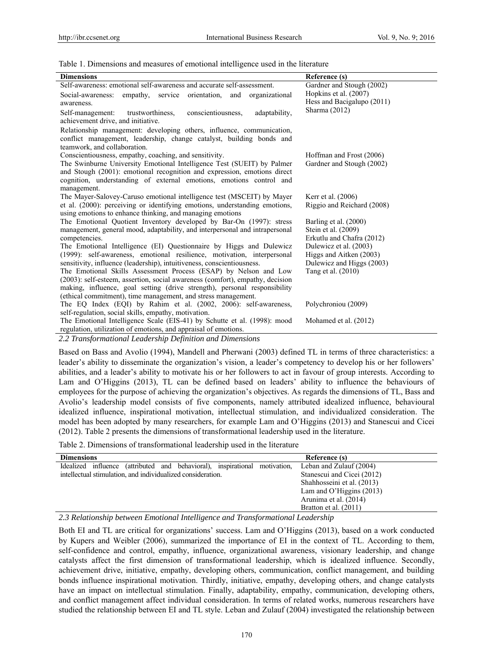Table 1. Dimensions and measures of emotional intelligence used in the literature

| <b>Dimensions</b>                                                                                                                                 | Reference (s)              |
|---------------------------------------------------------------------------------------------------------------------------------------------------|----------------------------|
| Self-awareness: emotional self-awareness and accurate self-assessment.                                                                            | Gardner and Stough (2002)  |
| empathy, service orientation, and organizational<br>Social-awareness:                                                                             | Hopkins et al. (2007)      |
| awareness.                                                                                                                                        | Hess and Bacigalupo (2011) |
| Self-management:<br>conscientiousness,<br>trustworthiness,<br>adaptability,                                                                       | Sharma (2012)              |
| achievement drive, and initiative.                                                                                                                |                            |
| Relationship management: developing others, influence, communication,                                                                             |                            |
| conflict management, leadership, change catalyst, building bonds and                                                                              |                            |
| teamwork, and collaboration.                                                                                                                      |                            |
| Conscientiousness, empathy, coaching, and sensitivity.                                                                                            | Hoffman and Frost (2006)   |
| The Swinburne University Emotional Intelligence Test (SUEIT) by Palmer                                                                            | Gardner and Stough (2002)  |
| and Stough (2001): emotional recognition and expression, emotions direct                                                                          |                            |
| cognition, understanding of external emotions, emotions control and                                                                               |                            |
| management.                                                                                                                                       |                            |
| The Mayer-Salovey-Caruso emotional intelligence test (MSCEIT) by Mayer                                                                            | Kerr et al. (2006)         |
| et al. (2000): perceiving or identifying emotions, understanding emotions,                                                                        | Riggio and Reichard (2008) |
| using emotions to enhance thinking, and managing emotions                                                                                         |                            |
| The Emotional Quotient Inventory developed by Bar-On (1997): stress                                                                               | Barling et al. (2000)      |
| management, general mood, adaptability, and interpersonal and intrapersonal                                                                       | Stein et al. (2009)        |
| competencies.                                                                                                                                     | Erkutlu and Chafra (2012)  |
| The Emotional Intelligence (EI) Questionnaire by Higgs and Dulewicz                                                                               | Dulewicz et al. (2003)     |
| (1999): self-awareness, emotional resilience, motivation, interpersonal                                                                           | Higgs and Aitken (2003)    |
| sensitivity, influence (leadership), intuitiveness, conscientiousness.                                                                            | Dulewicz and Higgs (2003)  |
| The Emotional Skills Assessment Process (ESAP) by Nelson and Low<br>(2003): self-esteem, assertion, social awareness (comfort), empathy, decision | Tang et al. (2010)         |
| making, influence, goal setting (drive strength), personal responsibility                                                                         |                            |
| (ethical commitment), time management, and stress management.                                                                                     |                            |
| The EQ Index (EQI) by Rahim et al. (2002, 2006): self-awareness,                                                                                  | Polychroniou (2009)        |
| self-regulation, social skills, empathy, motivation.                                                                                              |                            |
| The Emotional Intelligence Scale (EIS-41) by Schutte et al. (1998): mood                                                                          | Mohamed et al. (2012)      |
| regulation, utilization of emotions, and appraisal of emotions.                                                                                   |                            |
| $22\pi$ $(111)^{11}$ $(120)^{11}$                                                                                                                 |                            |

*2.2 Transformational Leadership Definition and Dimensions* 

Based on Bass and Avolio (1994), Mandell and Pherwani (2003) defined TL in terms of three characteristics: a leader's ability to disseminate the organization's vision, a leader's competency to develop his or her followers' abilities, and a leader's ability to motivate his or her followers to act in favour of group interests. According to Lam and O'Higgins (2013), TL can be defined based on leaders' ability to influence the behaviours of employees for the purpose of achieving the organization's objectives. As regards the dimensions of TL, Bass and Avolio's leadership model consists of five components, namely attributed idealized influence, behavioural idealized influence, inspirational motivation, intellectual stimulation, and individualized consideration. The model has been adopted by many researchers, for example Lam and O'Higgins (2013) and Stanescui and Cicei (2012). Table 2 presents the dimensions of transformational leadership used in the literature.

Table 2. Dimensions of transformational leadership used in the literature

| <b>Dimensions</b>                                                          | Reference (s)              |
|----------------------------------------------------------------------------|----------------------------|
| Idealized influence (attributed and behavioral), inspirational motivation, | Leban and Zulauf (2004)    |
| intellectual stimulation, and individualized consideration.                | Stanescui and Cicei (2012) |
|                                                                            | Shahhosseini et al. (2013) |
|                                                                            | Lam and O'Higgins $(2013)$ |
|                                                                            | Arunima et al. (2014)      |
|                                                                            | Bratton et al. (2011)      |

*2.3 Relationship between Emotional Intelligence and Transformational Leadership* 

Both EI and TL are critical for organizations' success. Lam and O'Higgins (2013), based on a work conducted by Kupers and Weibler (2006), summarized the importance of EI in the context of TL. According to them, self-confidence and control, empathy, influence, organizational awareness, visionary leadership, and change catalysts affect the first dimension of transformational leadership, which is idealized influence. Secondly, achievement drive, initiative, empathy, developing others, communication, conflict management, and building bonds influence inspirational motivation. Thirdly, initiative, empathy, developing others, and change catalysts have an impact on intellectual stimulation. Finally, adaptability, empathy, communication, developing others, and conflict management affect individual consideration. In terms of related works, numerous researchers have studied the relationship between EI and TL style. Leban and Zulauf (2004) investigated the relationship between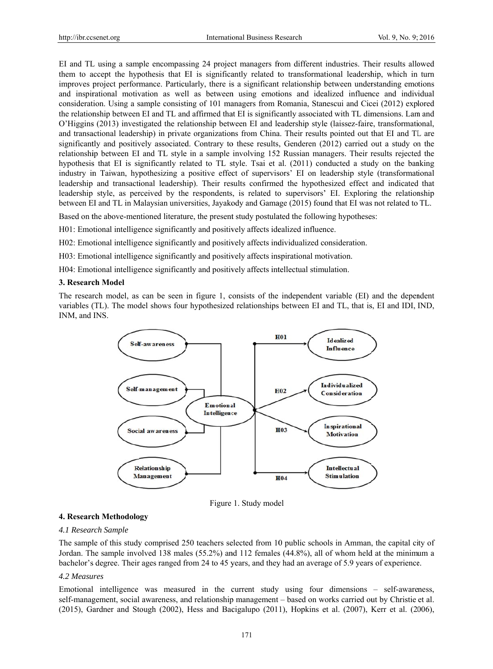EI and TL using a sample encompassing 24 project managers from different industries. Their results allowed them to accept the hypothesis that EI is significantly related to transformational leadership, which in turn improves project performance. Particularly, there is a significant relationship between understanding emotions and inspirational motivation as well as between using emotions and idealized influence and individual consideration. Using a sample consisting of 101 managers from Romania, Stanescui and Cicei (2012) explored the relationship between EI and TL and affirmed that EI is significantly associated with TL dimensions. Lam and O'Higgins (2013) investigated the relationship between EI and leadership style (laissez-faire, transformational, and transactional leadership) in private organizations from China. Their results pointed out that EI and TL are significantly and positively associated. Contrary to these results, Genderen (2012) carried out a study on the relationship between EI and TL style in a sample involving 152 Russian managers. Their results rejected the hypothesis that EI is significantly related to TL style. Tsai et al. (2011) conducted a study on the banking industry in Taiwan, hypothesizing a positive effect of supervisors' EI on leadership style (transformational leadership and transactional leadership). Their results confirmed the hypothesized effect and indicated that leadership style, as perceived by the respondents, is related to supervisors' EI. Exploring the relationship between EI and TL in Malaysian universities, Jayakody and Gamage (2015) found that EI was not related to TL.

Based on the above-mentioned literature, the present study postulated the following hypotheses:

H01: Emotional intelligence significantly and positively affects idealized influence.

H02: Emotional intelligence significantly and positively affects individualized consideration.

H03: Emotional intelligence significantly and positively affects inspirational motivation.

H04: Emotional intelligence significantly and positively affects intellectual stimulation.

### 3. Research Model

The research model, as can be seen in figure 1, consists of the independent variable (EI) and the dependent variables (TL). The model shows four hypothesized relationships between EI and TL, that is, EI and IDI, IND, INM, and INS.



Figure 1. Study model

### 4. Research Methodology

#### 4.1 Research Sample

The sample of this study comprised 250 teachers selected from 10 public schools in Amman, the capital city of Jordan. The sample involved 138 males (55.2%) and 112 females (44.8%), all of whom held at the minimum a bachelor's degree. Their ages ranged from 24 to 45 years, and they had an average of 5.9 years of experience.

### 4.2 Measures

Emotional intelligence was measured in the current study using four dimensions – self-awareness, self-management, social awareness, and relationship management – based on works carried out by Christie et al.  $(2015)$ , Gardner and Stough  $(2002)$ , Hess and Bacigalupo  $(2011)$ , Hopkins et al.  $(2007)$ , Kerr et al.  $(2006)$ ,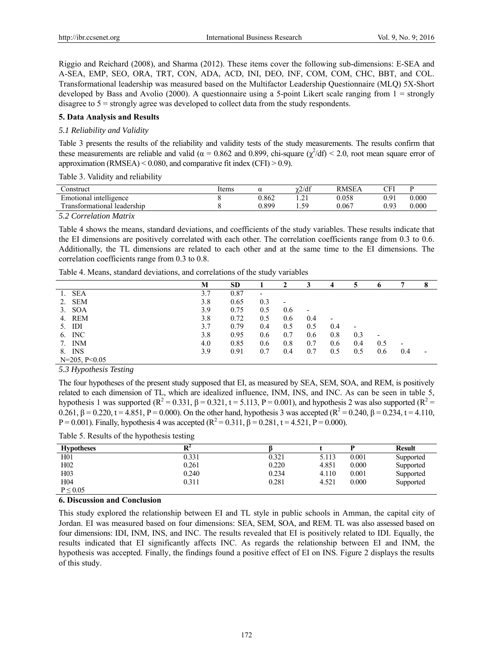Riggio and Reichard (2008), and Sharma (2012). These items cover the following sub-dimensions: E-SEA and A-SEA, EMP, SEO, ORA, TRT, CON, ADA, ACD, INI, DEO, INF, COM, COM, CHC, BBT, and COL. Transformational leadership was measured based on the Multifactor Leadership Questionnaire (MLQ) 5X-Short developed by Bass and Avolio (2000). A questionnaire using a 5-point Likert scale ranging from 1 = strongly disagree to 5 = strongly agree was developed to collect data from the study respondents.

## **5. Data Analysis and Results**

### *5.1 Reliability and Validity*

Table 3 presents the results of the reliability and validity tests of the study measurements. The results confirm that these measurements are reliable and valid ( $\alpha$  = 0.862 and 0.899, chi-square ( $\chi^2$ /df) < 2.0, root mean square error of approximation (RMSEA) <  $0.080$ , and comparative fit index (CFI) > 0.9).

Table 3. Validity and reliability

| `onstruct                         | ltems | w     | $\gamma$ 2/df              | <b>RMSEA</b> | $\cap$ FI                             | D     |
|-----------------------------------|-------|-------|----------------------------|--------------|---------------------------------------|-------|
| Emotional intelligence            |       | 0.862 | $\sim$<br>$\cdot$ $\sim$ 1 | 0.058        | $\Omega$ <sup>1</sup><br>$\mathbf{r}$ | 0.000 |
| . leadership<br>l ransformational |       | 0.899 | 50<br>ر. .                 | 0.067        | . 92                                  | 0.000 |
| ---<br>$\sim$ $\sim$              |       |       |                            |              |                                       |       |

*5.2 Correlation Matrix* 

Table 4 shows the means, standard deviations, and coefficients of the study variables. These results indicate that the EI dimensions are positively correlated with each other. The correlation coefficients range from 0.3 to 0.6. Additionally, the TL dimensions are related to each other and at the same time to the EI dimensions. The correlation coefficients range from 0.3 to 0.8.

| Table 4. Means, standard deviations, and correlations of the study variables |  |  |  |  |
|------------------------------------------------------------------------------|--|--|--|--|
|                                                                              |  |  |  |  |

|                    | М   | <b>SD</b> |     |     |     |     |     |     |     |  |
|--------------------|-----|-----------|-----|-----|-----|-----|-----|-----|-----|--|
| <b>SEA</b>         | 3.7 | 0.87      |     |     |     |     |     |     |     |  |
| 2. SEM             | 3.8 | 0.65      | 0.3 |     |     |     |     |     |     |  |
| <b>SOA</b><br>3.   | 3.9 | 0.75      | 0.5 | 0.6 | ٠   |     |     |     |     |  |
| 4. REM             | 3.8 | 0.72      | 0.5 | 0.6 | 0.4 |     |     |     |     |  |
| IDI<br>5.          | 3.7 | 0.79      | 0.4 | 0.5 | 0.5 | 0.4 |     |     |     |  |
| 6. INC             | 3.8 | 0.95      | 0.6 | 0.7 | 0.6 | 0.8 | 0.3 |     |     |  |
| 7. INM             | 4.0 | 0.85      | 0.6 | 0.8 | 0.7 | 0.6 | 0.4 | 0.5 |     |  |
| 8. INS             | 3.9 | 0.91      | 0.7 | 0.4 | 0.7 | 0.5 | 0.5 | 0.6 | 0.4 |  |
| $N=205$ , $P<0.05$ |     |           |     |     |     |     |     |     |     |  |

*5.3 Hypothesis Testing* 

The four hypotheses of the present study supposed that EI, as measured by SEA, SEM, SOA, and REM, is positively related to each dimension of TL, which are idealized influence, INM, INS, and INC. As can be seen in table 5, hypothesis 1 was supported ( $R^2 = 0.331$ ,  $\beta = 0.321$ ,  $t = 5.113$ ,  $P = 0.001$ ), and hypothesis 2 was also supported ( $R^2 =$ 0.261, β = 0.220, t = 4.851, P = 0.000). On the other hand, hypothesis 3 was accepted ( $\mathbb{R}^2$  = 0.240, β = 0.234, t = 4.110, P = 0.001). Finally, hypothesis 4 was accepted  $(R^2 = 0.311, \beta = 0.281, t = 4.521, P = 0.000)$ .

Table 5. Results of the hypothesis testing

|                   | . .<br>~ |       |       |       |               |
|-------------------|----------|-------|-------|-------|---------------|
| <b>Hypotheses</b> | DZ.      |       |       |       | <b>Result</b> |
| H <sub>01</sub>   | 0.331    | 0.321 | 5.113 | 0.001 | Supported     |
| H <sub>02</sub>   | 0.261    | 0.220 | 4.851 | 0.000 | Supported     |
| H <sub>0</sub> 3  | 0.240    | 0.234 | 4.110 | 0.001 | Supported     |
| H <sub>04</sub>   | 0.311    | 0.281 | 4.521 | 0.000 | Supported     |
| P < 0.05          |          |       |       |       |               |

#### **6. Discussion and Conclusion**

This study explored the relationship between EI and TL style in public schools in Amman, the capital city of Jordan. EI was measured based on four dimensions: SEA, SEM, SOA, and REM. TL was also assessed based on four dimensions: IDI, INM, INS, and INC. The results revealed that EI is positively related to IDI. Equally, the results indicated that EI significantly affects INC. As regards the relationship between EI and INM, the hypothesis was accepted. Finally, the findings found a positive effect of EI on INS. Figure 2 displays the results of this study.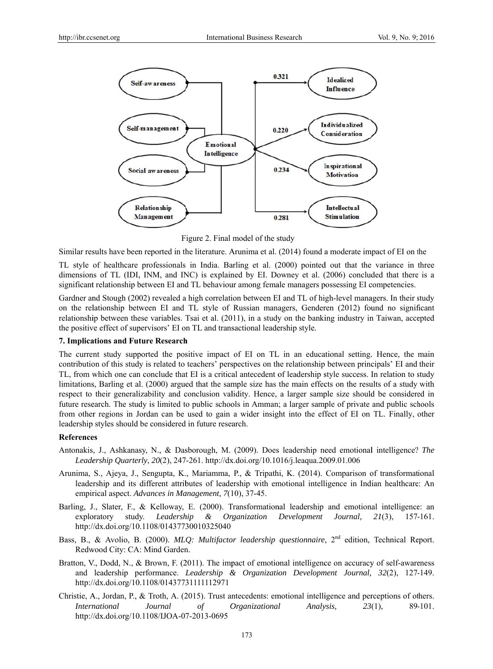

Figure 2. Final model of the study

Similar results have been reported in the literature. Arunima et al. (2014) found a moderate impact of EI on the

TL style of healthcare professionals in India. Barling et al. (2000) pointed out that the variance in three dimensions of TL (IDI, INM, and INC) is explained by EI. Downey et al. (2006) concluded that there is a significant relationship between EI and TL behaviour among female managers possessing EI competencies.

Gardner and Stough (2002) revealed a high correlation between EI and TL of high-level managers. In their study on the relationship between EI and TL style of Russian managers, Genderen (2012) found no significant relationship between these variables. Tsai et al. (2011), in a study on the banking industry in Taiwan, accepted the positive effect of supervisors' EI on TL and transactional leadership style.

# 7. Implications and Future Research

The current study supported the positive impact of EI on TL in an educational setting. Hence, the main contribution of this study is related to teachers' perspectives on the relationship between principals' EI and their TL, from which one can conclude that EI is a critical antecedent of leadership style success. In relation to study limitations, Barling et al. (2000) argued that the sample size has the main effects on the results of a study with respect to their generalizability and conclusion validity. Hence, a larger sample size should be considered in future research. The study is limited to public schools in Amman; a larger sample of private and public schools from other regions in Jordan can be used to gain a wider insight into the effect of EI on TL. Finally, other leadership styles should be considered in future research.

### **References**

- Antonakis, J., Ashkanasy, N., & Dasborough, M. (2009). Does leadership need emotional intelligence? The Leadership Quarterly, 20(2), 247-261. http://dx.doi.org/10.1016/j.leaqua.2009.01.006
- Arunima, S., Ajeya, J., Sengupta, K., Mariamma, P., & Tripathi, K. (2014). Comparison of transformational leadership and its different attributes of leadership with emotional intelligence in Indian healthcare: An empirical aspect. Advances in Management, 7(10), 37-45.
- Barling, J., Slater, F., & Kelloway, E. (2000). Transformational leadership and emotional intelligence: an  $\alpha$ exploratory study. Leadership Organization Development Journal,  $2I(3)$ , 157-161. http://dx.doi.org/10.1108/01437730010325040
- Bass, B., & Avolio, B. (2000). MLO: Multifactor leadership questionnaire, 2<sup>nd</sup> edition, Technical Report. Redwood City: CA: Mind Garden.
- Bratton, V., Dodd, N., & Brown, F. (2011). The impact of emotional intelligence on accuracy of self-awareness and leadership performance. Leadership & Organization Development Journal, 32(2), 127-149. http://dx.doi.org/10.1108/01437731111112971
- Christie, A., Jordan, P., & Troth, A. (2015). Trust antecedents: emotional intelligence and perceptions of others. **International** Journal  $\sigma f$ Organizational Analysis,  $23(1)$ , 89-101. http://dx.doi.org/10.1108/IJOA-07-2013-0695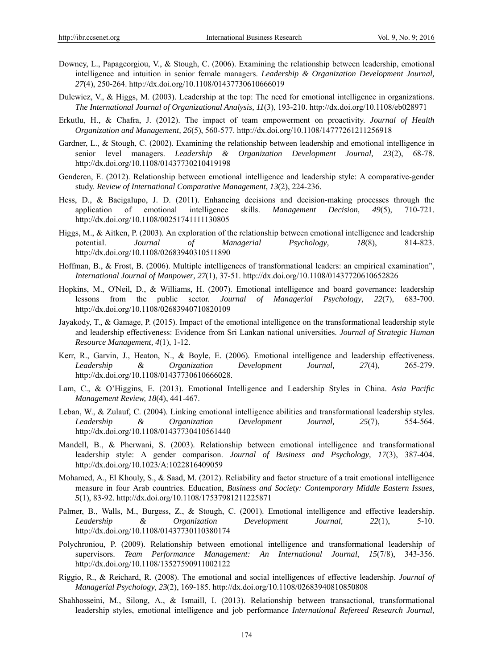- Downey, L., Papageorgiou, V., & Stough, C. (2006). Examining the relationship between leadership, emotional intelligence and intuition in senior female managers. *Leadership & Organization Development Journal, 27*(4), 250-264. http://dx.doi.org/10.1108/01437730610666019
- Dulewicz, V., & Higgs, M. (2003). Leadership at the top: The need for emotional intelligence in organizations. *The International Journal of Organizational Analysis, 11*(3), 193-210. http://dx.doi.org/10.1108/eb028971
- Erkutlu, H., & Chafra, J. (2012). The impact of team empowerment on proactivity. *Journal of Health Organization and Management, 26*(5), 560-577. http://dx.doi.org/10.1108/14777261211256918
- Gardner, L., & Stough, C. (2002). Examining the relationship between leadership and emotional intelligence in senior level managers. *Leadership & Organization Development Journal, 23*(2), 68-78. http://dx.doi.org/10.1108/01437730210419198
- Genderen, E. (2012). Relationship between emotional intelligence and leadership style: A comparative-gender study. *Review of International Comparative Management, 13*(2), 224-236.
- Hess, D.,  $\&$  Bacigalupo, J. D. (2011). Enhancing decisions and decision-making processes through the application of emotional intelligence skills. *Management Decision, 49*(5), 710-721. http://dx.doi.org/10.1108/00251741111130805
- Higgs, M., & Aitken, P. (2003). An exploration of the relationship between emotional intelligence and leadership potential. *Journal of Managerial Psychology, 18*(8), 814-823. http://dx.doi.org/10.1108/02683940310511890
- Hoffman, B., & Frost, B. (2006). Multiple intelligences of transformational leaders: an empirical examination", *International Journal of Manpower, 27*(1), 37-51. http://dx.doi.org/10.1108/01437720610652826
- Hopkins, M., O'Neil, D., & Williams, H. (2007). Emotional intelligence and board governance: leadership lessons from the public sector. *Journal of Managerial Psychology, 22*(7), 683-700. http://dx.doi.org/10.1108/02683940710820109
- Jayakody, T., & Gamage, P. (2015). Impact of the emotional intelligence on the transformational leadership style and leadership effectiveness: Evidence from Sri Lankan national universities. *Journal of Strategic Human Resource Management, 4*(1), 1-12.
- Kerr, R., Garvin, J., Heaton, N., & Boyle, E. (2006). Emotional intelligence and leadership effectiveness. *Leadership & Organization Development Journal, 27*(4), 265-279. http://dx.doi.org/10.1108/01437730610666028.
- Lam, C., & O'Higgins, E. (2013). Emotional Intelligence and Leadership Styles in China. *Asia Pacific Management Review, 18*(4), 441-467.
- Leban, W., & Zulauf, C. (2004). Linking emotional intelligence abilities and transformational leadership styles. *Leadership & Organization Development Journal, 25*(7), 554-564. http://dx.doi.org/10.1108/01437730410561440
- Mandell, B., & Pherwani, S. (2003). Relationship between emotional intelligence and transformational leadership style: A gender comparison. *Journal of Business and Psychology, 17*(3), 387-404. http://dx.doi.org/10.1023/A:1022816409059
- Mohamed, A., El Khouly, S., & Saad, M. (2012). Reliability and factor structure of a trait emotional intelligence measure in four Arab countries. Education, *Business and Society: Contemporary Middle Eastern Issues, 5*(1), 83-92. http://dx.doi.org/10.1108/17537981211225871
- Palmer, B., Walls, M., Burgess, Z., & Stough, C. (2001). Emotional intelligence and effective leadership. *Leadership & Organization Development Journal, 22*(1), 5-10. http://dx.doi.org/10.1108/01437730110380174
- Polychroniou, P. (2009). Relationship between emotional intelligence and transformational leadership of supervisors. *Team Performance Management: An International Journal*, *15*(7/8), 343-356. http://dx.doi.org/10.1108/13527590911002122
- Riggio, R., & Reichard, R. (2008). The emotional and social intelligences of effective leadership. *Journal of Managerial Psychology, 23*(2), 169-185. http://dx.doi.org/10.1108/02683940810850808
- Shahhosseini, M., Silong, A., & Ismaill, I. (2013). Relationship between transactional, transformational leadership styles, emotional intelligence and job performance *International Refereed Research Journal,*